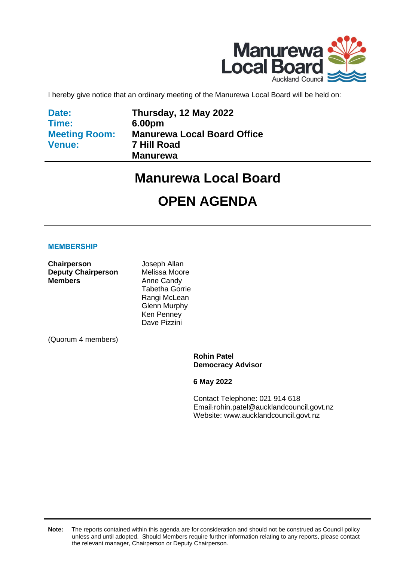

I hereby give notice that an ordinary meeting of the Manurewa Local Board will be held on:

**Date: Time: Meeting Room: Venue:**

**Thursday, 12 May 2022 6.00pm Manurewa Local Board Office 7 Hill Road Manurewa**

# **Manurewa Local Board**

# **OPEN AGENDA**

#### **MEMBERSHIP**

**Chairperson** Joseph Allan **Deputy Chairperson** Melissa Moore **Members** Anne Candy

Tabetha Gorrie Rangi McLean Glenn Murphy Ken Penney Dave Pizzini

(Quorum 4 members)

**Rohin Patel Democracy Advisor**

**6 May 2022**

Contact Telephone: 021 914 618 Email: rohin.patel@aucklandcouncil.govt.nz Website: www.aucklandcouncil.govt.nz

**Note:** The reports contained within this agenda are for consideration and should not be construed as Council policy unless and until adopted. Should Members require further information relating to any reports, please contact the relevant manager, Chairperson or Deputy Chairperson.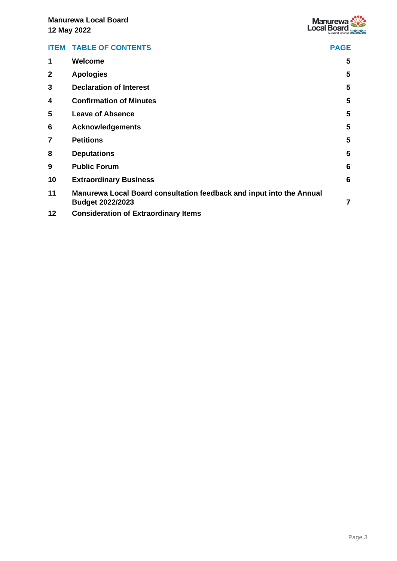

|                | <b>ITEM TABLE OF CONTENTS</b>                                                                   | <b>PAGE</b>             |
|----------------|-------------------------------------------------------------------------------------------------|-------------------------|
| 1              | Welcome                                                                                         | 5                       |
| $\mathbf 2$    | <b>Apologies</b>                                                                                | $\overline{\mathbf{5}}$ |
| 3              | <b>Declaration of Interest</b>                                                                  | 5                       |
| 4              | <b>Confirmation of Minutes</b>                                                                  | 5                       |
| 5              | <b>Leave of Absence</b>                                                                         | 5                       |
| 6              | <b>Acknowledgements</b>                                                                         | 5                       |
| $\overline{7}$ | <b>Petitions</b>                                                                                | 5                       |
| 8              | <b>Deputations</b>                                                                              | 5                       |
| 9              | <b>Public Forum</b>                                                                             | 6                       |
| 10             | <b>Extraordinary Business</b>                                                                   | $6\phantom{1}6$         |
| 11             | Manurewa Local Board consultation feedback and input into the Annual<br><b>Budget 2022/2023</b> | $\overline{7}$          |
| 12             | <b>Consideration of Extraordinary Items</b>                                                     |                         |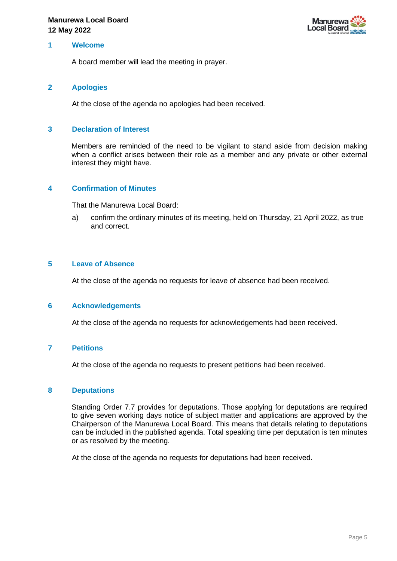

#### <span id="page-4-0"></span>**1 Welcome**

A board member will lead the meeting in prayer.

#### <span id="page-4-1"></span>**2 Apologies**

At the close of the agenda no apologies had been received.

#### <span id="page-4-2"></span>**3 Declaration of Interest**

Members are reminded of the need to be vigilant to stand aside from decision making when a conflict arises between their role as a member and any private or other external interest they might have.

#### <span id="page-4-3"></span>**4 Confirmation of Minutes**

That the Manurewa Local Board:

a) confirm the ordinary minutes of its meeting, held on Thursday, 21 April 2022, as true and correct.

#### <span id="page-4-4"></span>**5 Leave of Absence**

At the close of the agenda no requests for leave of absence had been received.

#### <span id="page-4-5"></span>**6 Acknowledgements**

At the close of the agenda no requests for acknowledgements had been received.

#### <span id="page-4-6"></span>**7 Petitions**

At the close of the agenda no requests to present petitions had been received.

#### <span id="page-4-7"></span>**8 Deputations**

Standing Order 7.7 provides for deputations. Those applying for deputations are required to give seven working days notice of subject matter and applications are approved by the Chairperson of the Manurewa Local Board. This means that details relating to deputations can be included in the published agenda. Total speaking time per deputation is ten minutes or as resolved by the meeting.

At the close of the agenda no requests for deputations had been received.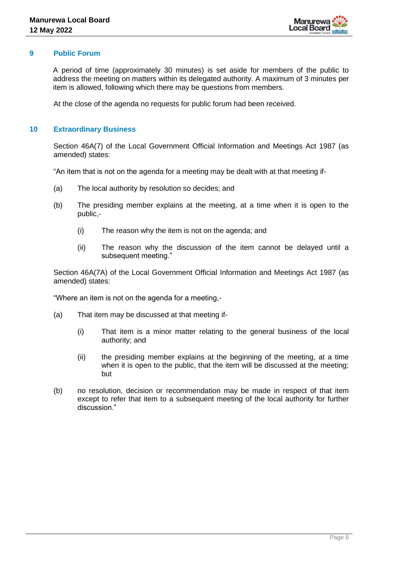

#### <span id="page-5-0"></span>**9 Public Forum**

A period of time (approximately 30 minutes) is set aside for members of the public to address the meeting on matters within its delegated authority. A maximum of 3 minutes per item is allowed, following which there may be questions from members.

At the close of the agenda no requests for public forum had been received.

#### <span id="page-5-1"></span>**10 Extraordinary Business**

Section 46A(7) of the Local Government Official Information and Meetings Act 1987 (as amended) states:

"An item that is not on the agenda for a meeting may be dealt with at that meeting if-

- (a) The local authority by resolution so decides; and
- (b) The presiding member explains at the meeting, at a time when it is open to the public,-
	- (i) The reason why the item is not on the agenda; and
	- (ii) The reason why the discussion of the item cannot be delayed until a subsequent meeting."

Section 46A(7A) of the Local Government Official Information and Meetings Act 1987 (as amended) states:

"Where an item is not on the agenda for a meeting,-

- (a) That item may be discussed at that meeting if-
	- (i) That item is a minor matter relating to the general business of the local authority; and
	- (ii) the presiding member explains at the beginning of the meeting, at a time when it is open to the public, that the item will be discussed at the meeting; but
- (b) no resolution, decision or recommendation may be made in respect of that item except to refer that item to a subsequent meeting of the local authority for further discussion."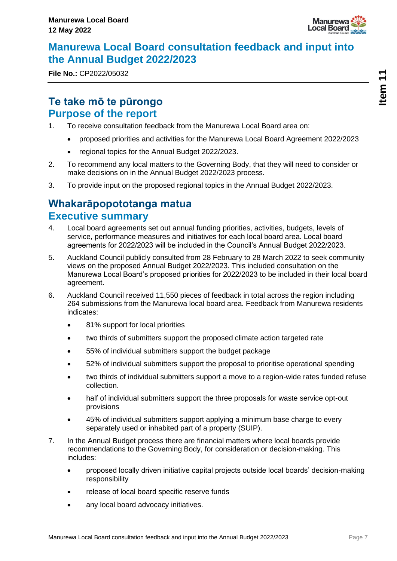

## <span id="page-6-0"></span>**Manurewa Local Board consultation feedback and input into the Annual Budget 2022/2023**

**File No.:** CP2022/05032

## **Te take mō te pūrongo Purpose of the report**

- 1. To receive consultation feedback from the Manurewa Local Board area on:
	- proposed priorities and activities for the Manurewa Local Board Agreement 2022/2023
	- regional topics for the Annual Budget 2022/2023.
- 2. To recommend any local matters to the Governing Body, that they will need to consider or make decisions on in the Annual Budget 2022/2023 process.
- 3. To provide input on the proposed regional topics in the Annual Budget 2022/2023.

## **Whakarāpopototanga matua Executive summary**

- 4. Local board agreements set out annual funding priorities, activities, budgets, levels of service, performance measures and initiatives for each local board area. Local board agreements for 2022/2023 will be included in the Council's Annual Budget 2022/2023.
- 5. Auckland Council publicly consulted from 28 February to 28 March 2022 to seek community views on the proposed Annual Budget 2022/2023. This included consultation on the Manurewa Local Board's proposed priorities for 2022/2023 to be included in their local board agreement.
- 6. Auckland Council received 11,550 pieces of feedback in total across the region including 264 submissions from the Manurewa local board area. Feedback from Manurewa residents indicates:
	- 81% support for local priorities
	- two thirds of submitters support the proposed climate action targeted rate
	- 55% of individual submitters support the budget package
	- 52% of individual submitters support the proposal to prioritise operational spending
	- two thirds of individual submitters support a move to a region-wide rates funded refuse collection.
	- half of individual submitters support the three proposals for waste service opt-out provisions
	- 45% of individual submitters support applying a minimum base charge to every separately used or inhabited part of a property (SUIP).
- 7. In the Annual Budget process there are financial matters where local boards provide recommendations to the Governing Body, for consideration or decision-making. This includes:
	- proposed locally driven initiative capital projects outside local boards' decision-making responsibility
	- release of local board specific reserve funds
	- any local board advocacy initiatives.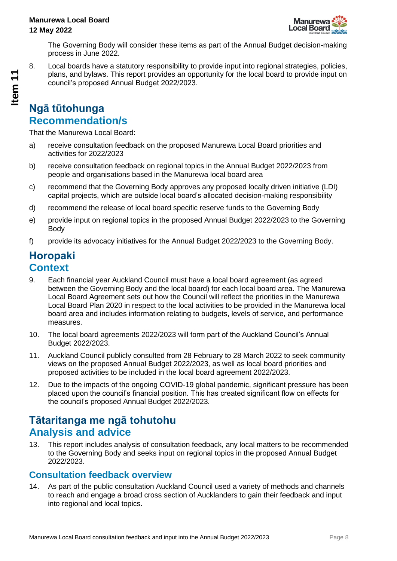

The Governing Body will consider these items as part of the Annual Budget decision-making process in June 2022.

8. Local boards have a statutory responsibility to provide input into regional strategies, policies, plans, and bylaws. This report provides an opportunity for the local board to provide input on council's proposed Annual Budget 2022/2023.

## **Ngā tūtohunga Recommendation/s**

That the Manurewa Local Board:

- a) receive consultation feedback on the proposed Manurewa Local Board priorities and activities for 2022/2023
- b) receive consultation feedback on regional topics in the Annual Budget 2022/2023 from people and organisations based in the Manurewa local board area
- c) recommend that the Governing Body approves any proposed locally driven initiative (LDI) capital projects, which are outside local board's allocated decision-making responsibility
- d) recommend the release of local board specific reserve funds to the Governing Body
- e) provide input on regional topics in the proposed Annual Budget 2022/2023 to the Governing Body
- f) provide its advocacy initiatives for the Annual Budget 2022/2023 to the Governing Body.

## **Horopaki Context**

- 9. Each financial year Auckland Council must have a local board agreement (as agreed between the Governing Body and the local board) for each local board area. The Manurewa Local Board Agreement sets out how the Council will reflect the priorities in the Manurewa Local Board Plan 2020 in respect to the local activities to be provided in the Manurewa local board area and includes information relating to budgets, levels of service, and performance measures.
- 10. The local board agreements 2022/2023 will form part of the Auckland Council's Annual Budget 2022/2023.
- 11. Auckland Council publicly consulted from 28 February to 28 March 2022 to seek community views on the proposed Annual Budget 2022/2023, as well as local board priorities and proposed activities to be included in the local board agreement 2022/2023.
- 12. Due to the impacts of the ongoing COVID-19 global pandemic, significant pressure has been placed upon the council's financial position. This has created significant flow on effects for the council's proposed Annual Budget 2022/2023.

## **Tātaritanga me ngā tohutohu Analysis and advice**

13. This report includes analysis of consultation feedback, any local matters to be recommended to the Governing Body and seeks input on regional topics in the proposed Annual Budget 2022/2023.

### **Consultation feedback overview**

14. As part of the public consultation Auckland Council used a variety of methods and channels to reach and engage a broad cross section of Aucklanders to gain their feedback and input into regional and local topics.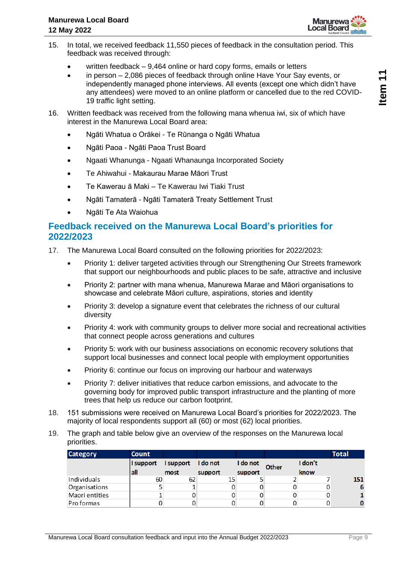

- 15. In total, we received feedback 11,550 pieces of feedback in the consultation period. This feedback was received through:
	- written feedback 9,464 online or hard copy forms, emails or letters
	- in person 2,086 pieces of feedback through online Have Your Say events, or independently managed phone interviews. All events (except one which didn't have any attendees) were moved to an online platform or cancelled due to the red COVID-19 traffic light setting.
- 16. Written feedback was received from the following mana whenua iwi, six of which have interest in the Manurewa Local Board area:
	- Ngāti Whatua o Orākei Te Rūnanga o Ngāti Whatua
	- Ngāti Paoa Ngāti Paoa Trust Board
	- Ngaati Whanunga Ngaati Whanaunga Incorporated Society
	- Te Ahiwahui Makaurau Marae Māori Trust
	- Te Kawerau ā Maki Te Kawerau Iwi Tiaki Trust
	- Ngāti Tamaterā Ngāti Tamaterā Treaty Settlement Trust
	- Ngāti Te Ata Waiohua

### **Feedback received on the Manurewa Local Board's priorities for 2022/2023**

- 17. The Manurewa Local Board consulted on the following priorities for 2022/2023:
	- Priority 1: deliver targeted activities through our Strengthening Our Streets framework that support our neighbourhoods and public places to be safe, attractive and inclusive
	- Priority 2: partner with mana whenua, Manurewa Marae and Māori organisations to showcase and celebrate Māori culture, aspirations, stories and identity
	- Priority 3: develop a signature event that celebrates the richness of our cultural diversity
	- Priority 4: work with community groups to deliver more social and recreational activities that connect people across generations and cultures
	- Priority 5: work with our business associations on economic recovery solutions that support local businesses and connect local people with employment opportunities
	- Priority 6: continue our focus on improving our harbour and waterways
	- Priority 7: deliver initiatives that reduce carbon emissions, and advocate to the governing body for improved public transport infrastructure and the planting of more trees that help us reduce our carbon footprint.
- 18. 151 submissions were received on Manurewa Local Board's priorities for 2022/2023. The majority of local respondents support all (60) or most (62) local priorities.
- 19. The graph and table below give an overview of the responses on the Manurewa local priorities.

| <b>Category</b> | <b>Count</b> |                    |         |          |              |         | <b>Total</b> |
|-----------------|--------------|--------------------|---------|----------|--------------|---------|--------------|
|                 | I support    | I support I do not |         | I do not | <b>Other</b> | I don't |              |
|                 | all          | most               | support | support  |              | know    |              |
| Individuals     | 60           | 62                 |         |          |              |         | 151          |
| Organisations   |              |                    |         |          |              |         | -6           |
| Maori entities  |              |                    |         |          |              |         |              |
| Pro formas      |              |                    |         |          |              |         | 0            |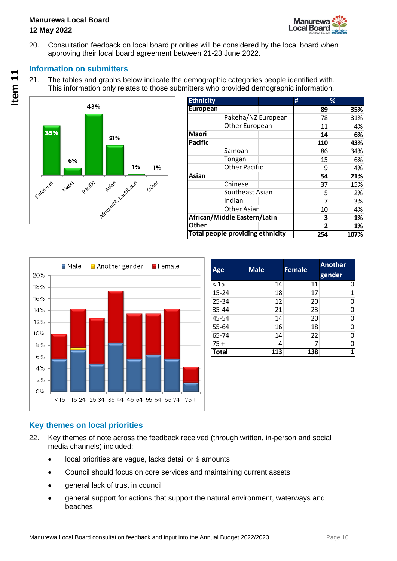

20. Consultation feedback on local board priorities will be considered by the local board when approving their local board agreement between 21-23 June 2022.

### **Information on submitters**

21. The tables and graphs below indicate the demographic categories people identified with. This information only relates to those submitters who provided demographic information.



| <b>Ethnicity</b> |                                         | #   | %    |
|------------------|-----------------------------------------|-----|------|
| European         |                                         | 89  | 35%  |
|                  | Pakeha/NZ European                      | 78  | 31%  |
|                  | Other European                          | 11  | 4%   |
| <b>Maori</b>     |                                         | 14  | 6%   |
| <b>Pacific</b>   |                                         | 110 | 43%  |
|                  | Samoan                                  | 86  | 34%  |
|                  | Tongan                                  | 15  | 6%   |
|                  | <b>Other Pacific</b>                    | 9   | 4%   |
| Asian            |                                         | 54  | 21%  |
|                  | Chinese                                 | 37  | 15%  |
|                  | Southeast Asian                         | 5   | 2%   |
|                  | Indian                                  |     | 3%   |
|                  | <b>Other Asian</b>                      | 10  | 4%   |
|                  | African/Middle Eastern/Latin            | з   | 1%   |
| <b>Other</b>     |                                         | 2   | 1%   |
|                  | <b>Total people providing ethnicity</b> | 254 | 107% |



| Age          | <b>Male</b> | Female | <b>Another</b><br>gender |
|--------------|-------------|--------|--------------------------|
| < 15         | 14          | 11     | 0                        |
| $15 - 24$    | 18          | 17     |                          |
| 25-34        | 12          | 20     |                          |
| 35-44        | 21          | 23     |                          |
| 45-54        | 14          | 20     | n                        |
| 55-64        | 16          | 18     |                          |
| 65-74        | 14          | 22     |                          |
| $75 +$       | 4           |        |                          |
| <b>Total</b> | 113         | 138    | 1                        |

### **Key themes on local priorities**

- 22. Key themes of note across the feedback received (through written, in-person and social media channels) included:
	- local priorities are vague, lacks detail or \$ amounts
	- Council should focus on core services and maintaining current assets
	- general lack of trust in council
	- general support for actions that support the natural environment, waterways and beaches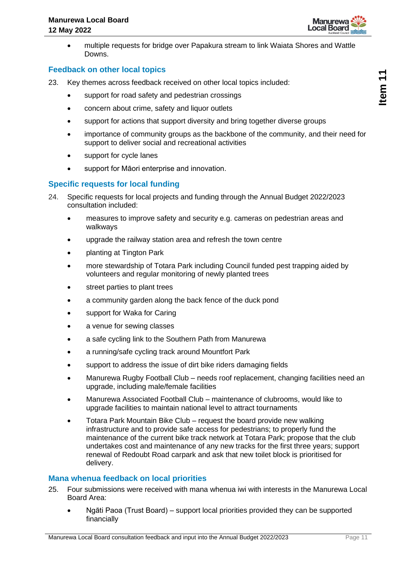

• multiple requests for bridge over Papakura stream to link Waiata Shores and Wattle Downs.

#### **Feedback on other local topics**

- 23. Key themes across feedback received on other local topics included:
	- support for road safety and pedestrian crossings
	- concern about crime, safety and liquor outlets
	- support for actions that support diversity and bring together diverse groups
	- importance of community groups as the backbone of the community, and their need for support to deliver social and recreational activities
	- support for cycle lanes
	- support for Māori enterprise and innovation.

#### **Specific requests for local funding**

- 24. Specific requests for local projects and funding through the Annual Budget 2022/2023 consultation included:
	- measures to improve safety and security e.g. cameras on pedestrian areas and walkways
	- upgrade the railway station area and refresh the town centre
	- planting at Tington Park
	- more stewardship of Totara Park including Council funded pest trapping aided by volunteers and regular monitoring of newly planted trees
	- street parties to plant trees
	- a community garden along the back fence of the duck pond
	- support for Waka for Caring
	- a venue for sewing classes
	- a safe cycling link to the Southern Path from Manurewa
	- a running/safe cycling track around Mountfort Park
	- support to address the issue of dirt bike riders damaging fields
	- Manurewa Rugby Football Club needs roof replacement, changing facilities need an upgrade, including male/female facilities
	- Manurewa Associated Football Club maintenance of clubrooms, would like to upgrade facilities to maintain national level to attract tournaments
	- Totara Park Mountain Bike Club request the board provide new walking infrastructure and to provide safe access for pedestrians; to properly fund the maintenance of the current bike track network at Totara Park; propose that the club undertakes cost and maintenance of any new tracks for the first three years; support renewal of Redoubt Road carpark and ask that new toilet block is prioritised for delivery.

#### **Mana whenua feedback on local priorities**

- 25. Four submissions were received with mana whenua iwi with interests in the Manurewa Local Board Area:
	- Ngāti Paoa (Trust Board) support local priorities provided they can be supported financially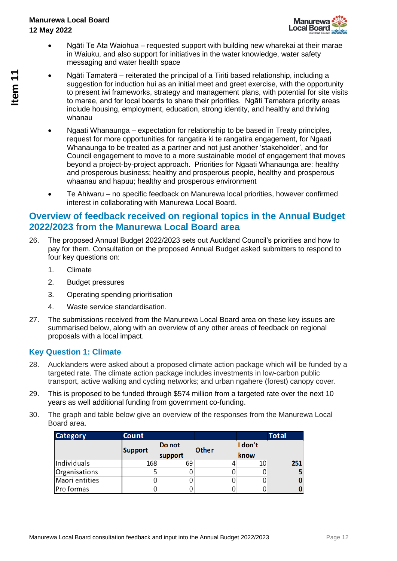

- Ngāti Te Ata Waiohua requested support with building new wharekai at their marae in Waiuku, and also support for initiatives in the water knowledge, water safety messaging and water health space
- Ngāti Tamaterā reiterated the principal of a Tiriti based relationship, including a suggestion for induction hui as an initial meet and greet exercise, with the opportunity to present iwi frameworks, strategy and management plans, with potential for site visits to marae, and for local boards to share their priorities. Ngāti Tamatera priority areas include housing, employment, education, strong identity, and healthy and thriving whanau
- Ngaati Whanaunga expectation for relationship to be based in Treaty principles, request for more opportunities for rangatira ki te rangatira engagement, for Ngaati Whanaunga to be treated as a partner and not just another 'stakeholder', and for Council engagement to move to a more sustainable model of engagement that moves beyond a project-by-project approach. Priorities for Ngaati Whanaunga are: healthy and prosperous business; healthy and prosperous people, healthy and prosperous whaanau and hapuu; healthy and prosperous environment
- Te Ahiwaru no specific feedback on Manurewa local priorities, however confirmed interest in collaborating with Manurewa Local Board.

### **Overview of feedback received on regional topics in the Annual Budget 2022/2023 from the Manurewa Local Board area**

- 26. The proposed Annual Budget 2022/2023 sets out Auckland Council's priorities and how to pay for them. Consultation on the proposed Annual Budget asked submitters to respond to four key questions on:
	- 1. Climate
	- 2. Budget pressures
	- 3. Operating spending prioritisation
	- 4. Waste service standardisation.
- 27. The submissions received from the Manurewa Local Board area on these key issues are summarised below, along with an overview of any other areas of feedback on regional proposals with a local impact.

### **Key Question 1: Climate**

- 28. Aucklanders were asked about a proposed climate action package which will be funded by a targeted rate. The climate action package includes investments in low-carbon public transport, active walking and cycling networks; and urban ngahere (forest) canopy cover.
- 29. This is proposed to be funded through \$574 million from a targeted rate over the next 10 years as well additional funding from government co-funding.
- 30. The graph and table below give an overview of the responses from the Manurewa Local Board area.

| <b>Category</b> | <b>Count</b>   |         |              |         | <b>Total</b> |
|-----------------|----------------|---------|--------------|---------|--------------|
|                 |                | Do not  | <b>Other</b> | I don't |              |
|                 | <b>Support</b> | support |              | know    |              |
| Individuals     | 168            | 69      |              | 10      | 251          |
| Organisations   |                |         |              |         |              |
| Maori entities  |                |         |              |         |              |
| Pro formas      |                |         |              |         |              |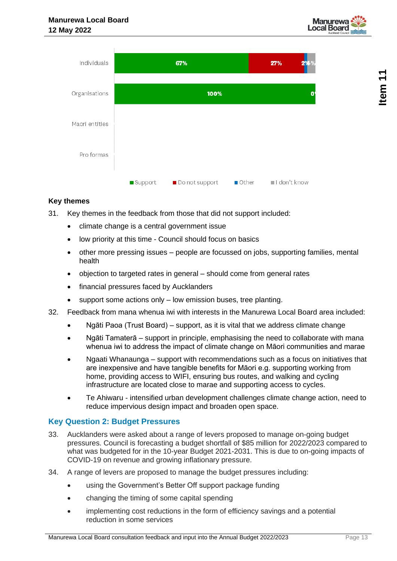



### **Key themes**

- 31. Key themes in the feedback from those that did not support included:
	- climate change is a central government issue
	- low priority at this time Council should focus on basics
	- other more pressing issues people are focussed on jobs, supporting families, mental health
	- objection to targeted rates in general should come from general rates
	- financial pressures faced by Aucklanders
	- support some actions only low emission buses, tree planting.
- 32. Feedback from mana whenua iwi with interests in the Manurewa Local Board area included:
	- Ngāti Paoa (Trust Board) support, as it is vital that we address climate change
	- Ngāti Tamaterā support in principle, emphasising the need to collaborate with mana whenua iwi to address the impact of climate change on Māori communities and marae
	- Ngaati Whanaunga support with recommendations such as a focus on initiatives that are inexpensive and have tangible benefits for Māori e.g. supporting working from home, providing access to WIFI, ensuring bus routes, and walking and cycling infrastructure are located close to marae and supporting access to cycles.
	- Te Ahiwaru intensified urban development challenges climate change action, need to reduce impervious design impact and broaden open space.

### **Key Question 2: Budget Pressures**

- 33. Aucklanders were asked about a range of levers proposed to manage on-going budget pressures. Council is forecasting a budget shortfall of \$85 million for 2022/2023 compared to what was budgeted for in the 10-year Budget 2021-2031. This is due to on-going impacts of COVID-19 on revenue and growing inflationary pressure.
- 34. A range of levers are proposed to manage the budget pressures including:
	- using the Government's Better Off support package funding
	- changing the timing of some capital spending
	- implementing cost reductions in the form of efficiency savings and a potential reduction in some services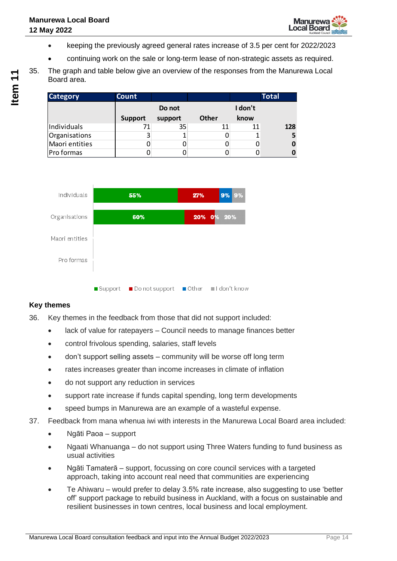- keeping the previously agreed general rates increase of 3.5 per cent for 2022/2023
- continuing work on the sale or long-term lease of non-strategic assets as required.
- 35. The graph and table below give an overview of the responses from the Manurewa Local Board area.

| <b>Category</b> | <b>Count</b>   |         |              |         | <b>Total</b> |
|-----------------|----------------|---------|--------------|---------|--------------|
|                 |                | Do not  |              | I don't |              |
|                 | <b>Support</b> | support | <b>Other</b> | know    |              |
| Individuals     |                | 35      | 11           | 11      | 128          |
| Organisations   | 3              |         |              |         |              |
| Maori entities  |                |         |              |         |              |
| Pro formas      |                |         |              |         |              |



### **Key themes**

- 36. Key themes in the feedback from those that did not support included:
	- lack of value for ratepayers Council needs to manage finances better
	- control frivolous spending, salaries, staff levels
	- don't support selling assets community will be worse off long term
	- rates increases greater than income increases in climate of inflation
	- do not support any reduction in services
	- support rate increase if funds capital spending, long term developments
	- speed bumps in Manurewa are an example of a wasteful expense.
- 37. Feedback from mana whenua iwi with interests in the Manurewa Local Board area included:
	- Ngāti Paoa support
	- Ngaati Whanuanga do not support using Three Waters funding to fund business as usual activities
	- Ngāti Tamaterā support, focussing on core council services with a targeted approach, taking into account real need that communities are experiencing
	- Te Ahiwaru would prefer to delay 3.5% rate increase, also suggesting to use 'better off' support package to rebuild business in Auckland, with a focus on sustainable and resilient businesses in town centres, local business and local employment.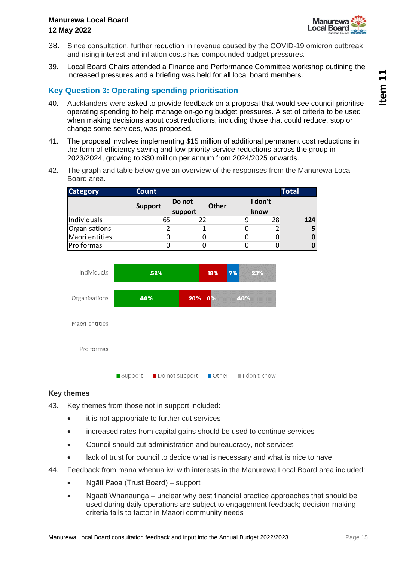

- 38. Since consultation, further reduction in revenue caused by the COVID-19 omicron outbreak and rising interest and inflation costs has compounded budget pressures.
- 39. Local Board Chairs attended a Finance and Performance Committee workshop outlining the increased pressures and a briefing was held for all local board members.

### **Key Question 3: Operating spending prioritisation**

- 40. Aucklanders were asked to provide feedback on a proposal that would see council prioritise operating spending to help manage on-going budget pressures. A set of criteria to be used when making decisions about cost reductions, including those that could reduce, stop or change some services, was proposed.
- 41. The proposal involves implementing \$15 million of additional permanent cost reductions in the form of efficiency saving and low-priority service reductions across the group in 2023/2024, growing to \$30 million per annum from 2024/2025 onwards.
- 42. The graph and table below give an overview of the responses from the Manurewa Local Board area.

| <b>Category</b> | Count          |         |              |         | <b>Total</b> |
|-----------------|----------------|---------|--------------|---------|--------------|
|                 | <b>Support</b> | Do not  | <b>Other</b> | I don't |              |
|                 |                | support |              | know    |              |
| Individuals     | 65             | 22      |              | 28      | 124          |
| Organisations   | 2              |         |              |         |              |
| Maori entities  |                |         |              |         |              |
| Pro formas      |                |         |              |         |              |



### **Key themes**

- 43. Key themes from those not in support included:
	- it is not appropriate to further cut services
	- increased rates from capital gains should be used to continue services
	- Council should cut administration and bureaucracy, not services
	- lack of trust for council to decide what is necessary and what is nice to have.
- 44. Feedback from mana whenua iwi with interests in the Manurewa Local Board area included:
	- Ngāti Paoa (Trust Board) support
	- Ngaati Whanaunga unclear why best financial practice approaches that should be used during daily operations are subject to engagement feedback; decision-making criteria fails to factor in Maaori community needs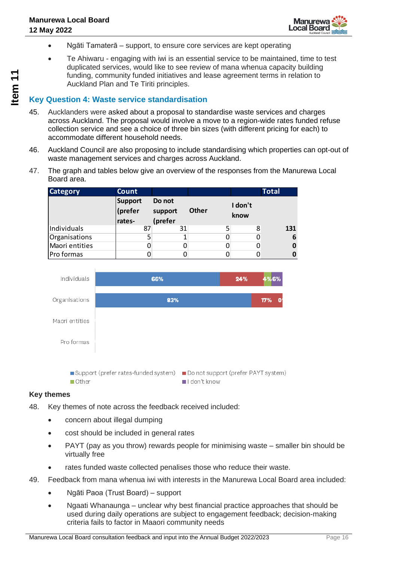

- Ngāti Tamaterā support, to ensure core services are kept operating
- Te Ahiwaru engaging with iwi is an essential service to be maintained, time to test duplicated services, would like to see review of mana whenua capacity building funding, community funded initiatives and lease agreement terms in relation to Auckland Plan and Te Tiriti principles.

### **Key Question 4: Waste service standardisation**

- 45. Aucklanders were asked about a proposal to standardise waste services and charges across Auckland. The proposal would involve a move to a region-wide rates funded refuse collection service and see a choice of three bin sizes (with different pricing for each) to accommodate different household needs.
- 46. Auckland Council are also proposing to include standardising which properties can opt-out of waste management services and charges across Auckland.
- 47. The graph and tables below give an overview of the responses from the Manurewa Local Board area.

| <b>Category</b> | Count                               |                              |              |                 | <b>Total</b> |
|-----------------|-------------------------------------|------------------------------|--------------|-----------------|--------------|
|                 | <b>Support</b><br>(prefer<br>rates- | Do not<br>support<br>(prefer | <b>Other</b> | I don't<br>know |              |
| Individuals     | 87                                  | 31                           |              | 8               | 131          |
| Organisations   | 5                                   |                              |              | 0               | 6            |
| Maori entities  | 0                                   |                              |              | 0               |              |
| Pro formas      |                                     |                              |              |                 |              |



### **Key themes**

- 48. Key themes of note across the feedback received included:
	- concern about illegal dumping
	- cost should be included in general rates
	- PAYT (pay as you throw) rewards people for minimising waste smaller bin should be virtually free
	- rates funded waste collected penalises those who reduce their waste.
- 49. Feedback from mana whenua iwi with interests in the Manurewa Local Board area included:
	- Ngāti Paoa (Trust Board) support
	- Ngaati Whanaunga unclear why best financial practice approaches that should be used during daily operations are subject to engagement feedback; decision-making criteria fails to factor in Maaori community needs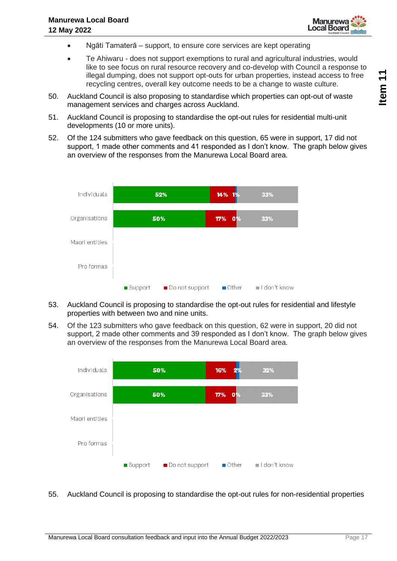

- Ngāti Tamaterā support, to ensure core services are kept operating
- Te Ahiwaru does not support exemptions to rural and agricultural industries, would like to see focus on rural resource recovery and co-develop with Council a response to illegal dumping, does not support opt-outs for urban properties, instead access to free recycling centres, overall key outcome needs to be a change to waste culture.
- 50. Auckland Council is also proposing to standardise which properties can opt-out of waste management services and charges across Auckland.
- 51. Auckland Council is proposing to standardise the opt-out rules for residential multi-unit developments (10 or more units).
- 52. Of the 124 submitters who gave feedback on this question, 65 were in support, 17 did not support, 1 made other comments and 41 responded as I don't know. The graph below gives an overview of the responses from the Manurewa Local Board area.



- 53. Auckland Council is proposing to standardise the opt-out rules for residential and lifestyle properties with between two and nine units.
- 54. Of the 123 submitters who gave feedback on this question, 62 were in support, 20 did not support, 2 made other comments and 39 responded as I don't know. The graph below gives an overview of the responses from the Manurewa Local Board area.



55. Auckland Council is proposing to standardise the opt-out rules for non-residential properties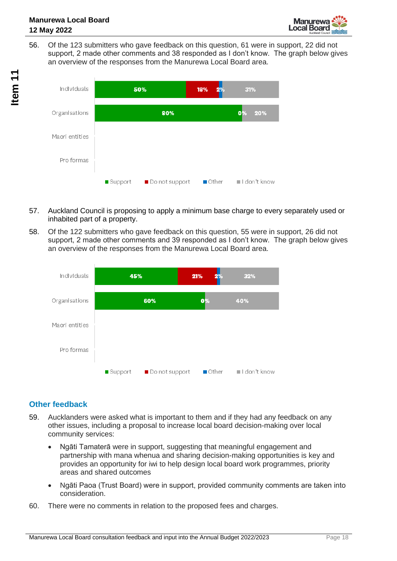

56. Of the 123 submitters who gave feedback on this question, 61 were in support, 22 did not support, 2 made other comments and 38 responded as I don't know. The graph below gives an overview of the responses from the Manurewa Local Board area.



- 57. Auckland Council is proposing to apply a minimum base charge to every separately used or inhabited part of a property.
- 58. Of the 122 submitters who gave feedback on this question, 55 were in support, 26 did not support, 2 made other comments and 39 responded as I don't know. The graph below gives an overview of the responses from the Manurewa Local Board area.



### **Other feedback**

- 59. Aucklanders were asked what is important to them and if they had any feedback on any other issues, including a proposal to increase local board decision-making over local community services:
	- Ngāti Tamaterā were in support, suggesting that meaningful engagement and partnership with mana whenua and sharing decision-making opportunities is key and provides an opportunity for iwi to help design local board work programmes, priority areas and shared outcomes
	- Ngāti Paoa (Trust Board) were in support, provided community comments are taken into consideration.
- 60. There were no comments in relation to the proposed fees and charges.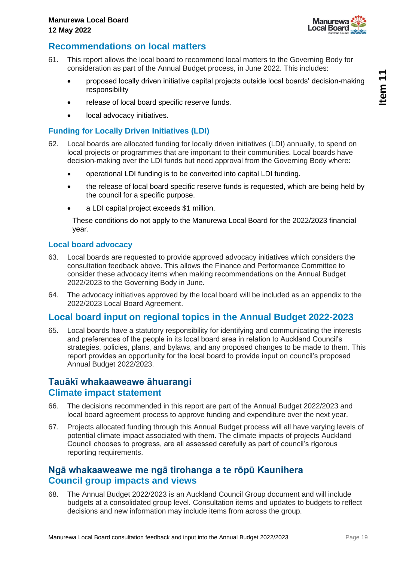

### **Recommendations on local matters**

- 61. This report allows the local board to recommend local matters to the Governing Body for consideration as part of the Annual Budget process, in June 2022. This includes:
	- proposed locally driven initiative capital projects outside local boards' decision-making responsibility
	- release of local board specific reserve funds.
	- local advocacy initiatives.

### **Funding for Locally Driven Initiatives (LDI)**

- 62. Local boards are allocated funding for locally driven initiatives (LDI) annually, to spend on local projects or programmes that are important to their communities. Local boards have decision-making over the LDI funds but need approval from the Governing Body where:
	- operational LDI funding is to be converted into capital LDI funding.
	- the release of local board specific reserve funds is requested, which are being held by the council for a specific purpose.
	- a LDI capital project exceeds \$1 million.

These conditions do not apply to the Manurewa Local Board for the 2022/2023 financial year.

#### **Local board advocacy**

- 63. Local boards are requested to provide approved advocacy initiatives which considers the consultation feedback above. This allows the Finance and Performance Committee to consider these advocacy items when making recommendations on the Annual Budget 2022/2023 to the Governing Body in June.
- 64. The advocacy initiatives approved by the local board will be included as an appendix to the 2022/2023 Local Board Agreement.

### **Local board input on regional topics in the Annual Budget 2022-2023**

65. Local boards have a statutory responsibility for identifying and communicating the interests and preferences of the people in its local board area in relation to Auckland Council's strategies, policies, plans, and bylaws, and any proposed changes to be made to them. This report provides an opportunity for the local board to provide input on council's proposed Annual Budget 2022/2023.

### **Tauākī whakaaweawe āhuarangi Climate impact statement**

- 66. The decisions recommended in this report are part of the Annual Budget 2022/2023 and local board agreement process to approve funding and expenditure over the next year.
- 67. Projects allocated funding through this Annual Budget process will all have varying levels of potential climate impact associated with them. The climate impacts of projects Auckland Council chooses to progress, are all assessed carefully as part of council's rigorous reporting requirements.

### **Ngā whakaaweawe me ngā tirohanga a te rōpū Kaunihera Council group impacts and views**

68. The Annual Budget 2022/2023 is an Auckland Council Group document and will include budgets at a consolidated group level. Consultation items and updates to budgets to reflect decisions and new information may include items from across the group.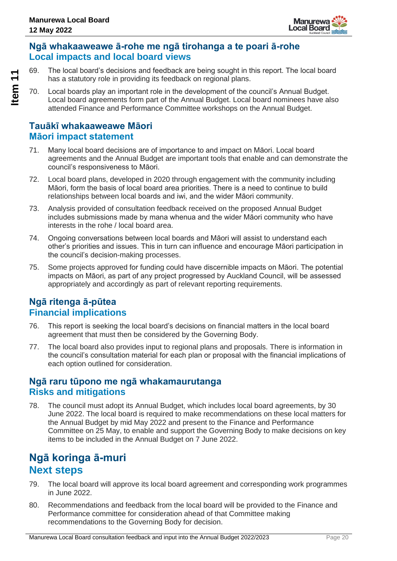

### **Ngā whakaaweawe ā-rohe me ngā tirohanga a te poari ā-rohe Local impacts and local board views**

69. The local board's decisions and feedback are being sought in this report. The local board has a statutory role in providing its feedback on regional plans.

70. Local boards play an important role in the development of the council's Annual Budget. Local board agreements form part of the Annual Budget. Local board nominees have also attended Finance and Performance Committee workshops on the Annual Budget.

### **Tauākī whakaaweawe Māori Māori impact statement**

- 71. Many local board decisions are of importance to and impact on Māori. Local board agreements and the Annual Budget are important tools that enable and can demonstrate the council's responsiveness to Māori.
- 72. Local board plans, developed in 2020 through engagement with the community including Māori, form the basis of local board area priorities. There is a need to continue to build relationships between local boards and iwi, and the wider Māori community.
- 73. Analysis provided of consultation feedback received on the proposed Annual Budget includes submissions made by mana whenua and the wider Māori community who have interests in the rohe / local board area.
- 74. Ongoing conversations between local boards and Māori will assist to understand each other's priorities and issues. This in turn can influence and encourage Māori participation in the council's decision-making processes.
- 75. Some projects approved for funding could have discernible impacts on Māori. The potential impacts on Māori, as part of any project progressed by Auckland Council, will be assessed appropriately and accordingly as part of relevant reporting requirements.

### **Ngā ritenga ā-pūtea Financial implications**

- 76. This report is seeking the local board's decisions on financial matters in the local board agreement that must then be considered by the Governing Body.
- 77. The local board also provides input to regional plans and proposals. There is information in the council's consultation material for each plan or proposal with the financial implications of each option outlined for consideration.

### **Ngā raru tūpono me ngā whakamaurutanga Risks and mitigations**

78. The council must adopt its Annual Budget, which includes local board agreements, by 30 June 2022. The local board is required to make recommendations on these local matters for the Annual Budget by mid May 2022 and present to the Finance and Performance Committee on 25 May, to enable and support the Governing Body to make decisions on key items to be included in the Annual Budget on 7 June 2022.

## **Ngā koringa ā-muri Next steps**

- 79. The local board will approve its local board agreement and corresponding work programmes in June 2022.
- 80. Recommendations and feedback from the local board will be provided to the Finance and Performance committee for consideration ahead of that Committee making recommendations to the Governing Body for decision.